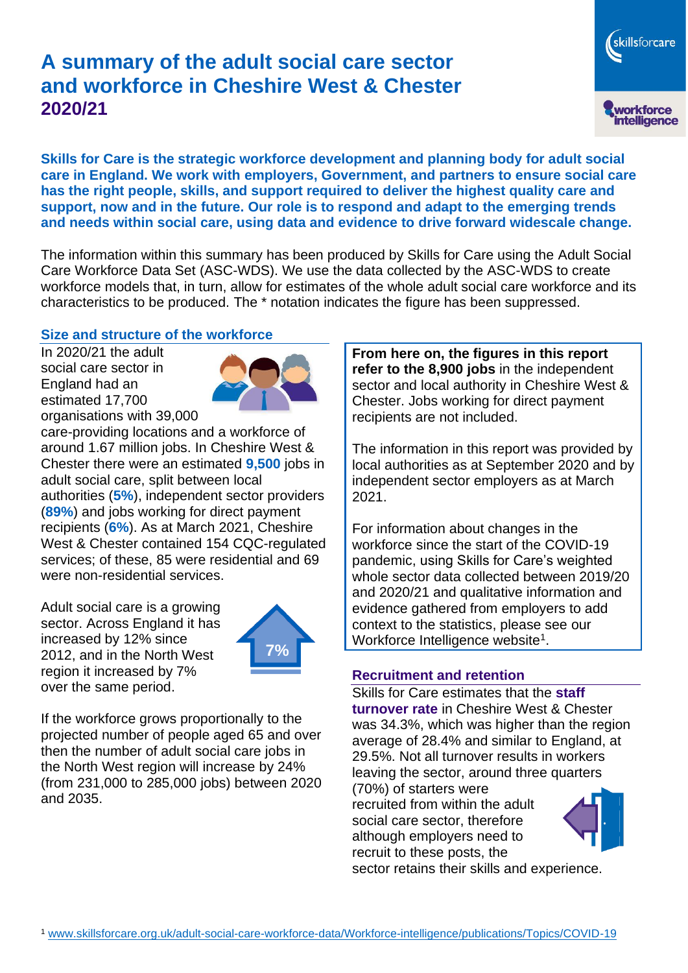# **A summary of the adult social care sector and workforce in Cheshire West & Chester 2020/21**



**Skills for Care is the strategic workforce development and planning body for adult social care in England. We work with employers, Government, and partners to ensure social care has the right people, skills, and support required to deliver the highest quality care and support, now and in the future. Our role is to respond and adapt to the emerging trends and needs within social care, using data and evidence to drive forward widescale change.**

The information within this summary has been produced by Skills for Care using the Adult Social Care Workforce Data Set (ASC-WDS). We use the data collected by the ASC-WDS to create workforce models that, in turn, allow for estimates of the whole adult social care workforce and its characteristics to be produced. The \* notation indicates the figure has been suppressed.

#### **Size and structure of the workforce**

In 2020/21 the adult social care sector in England had an estimated 17,700 organisations with 39,000



care-providing locations and a workforce of around 1.67 million jobs. In Cheshire West & Chester there were an estimated **9,500** jobs in adult social care, split between local authorities (**5%**), independent sector providers (**89%**) and jobs working for direct payment recipients (**6%**). As at March 2021, Cheshire West & Chester contained 154 CQC-regulated services; of these, 85 were residential and 69 were non-residential services.

Adult social care is a growing sector. Across England it has increased by 12% since 2012, and in the North West region it increased by 7% over the same period.



If the workforce grows proportionally to the projected number of people aged 65 and over then the number of adult social care jobs in the North West region will increase by 24% (from 231,000 to 285,000 jobs) between 2020 and 2035.

**From here on, the figures in this report refer to the 8,900 jobs** in the independent sector and local authority in Cheshire West & Chester. Jobs working for direct payment recipients are not included.

The information in this report was provided by local authorities as at September 2020 and by independent sector employers as at March 2021.

For information about changes in the workforce since the start of the COVID-19 pandemic, using Skills for Care's weighted whole sector data collected between 2019/20 and 2020/21 and qualitative information and evidence gathered from employers to add context to the statistics, please see our Workforce Intelligence website<sup>1</sup>.

#### **Recruitment and retention**

Skills for Care estimates that the **staff turnover rate** in Cheshire West & Chester was 34.3%, which was higher than the region average of 28.4% and similar to England, at 29.5%. Not all turnover results in workers leaving the sector, around three quarters

(70%) of starters were recruited from within the adult social care sector, therefore although employers need to recruit to these posts, the



sector retains their skills and experience.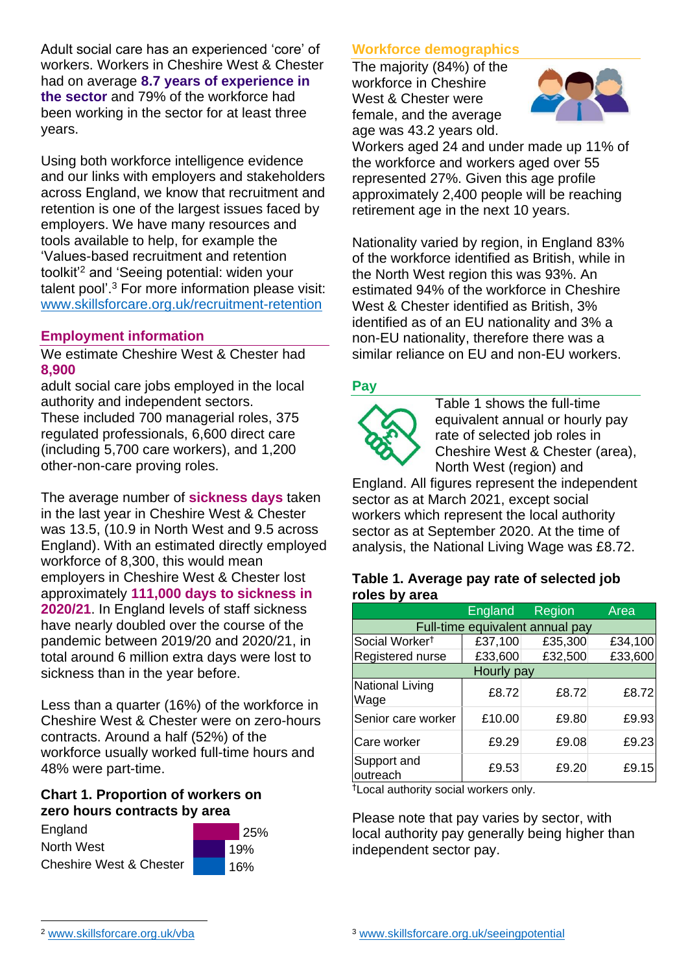Adult social care has an experienced 'core' of workers. Workers in Cheshire West & Chester had on average **8.7 years of experience in the sector** and 79% of the workforce had been working in the sector for at least three years.

Using both workforce intelligence evidence and our links with employers and stakeholders across England, we know that recruitment and retention is one of the largest issues faced by employers. We have many resources and tools available to help, for example the 'Values-based recruitment and retention toolkit'<sup>2</sup> and 'Seeing potential: widen your talent pool'. <sup>3</sup> For more information please visit: [www.skillsforcare.org.uk/recruitment-retention](http://www.skillsforcare.org.uk/recruitment-retention)

# **Employment information**

We estimate Cheshire West & Chester had **8,900**

adult social care jobs employed in the local authority and independent sectors. These included 700 managerial roles, 375 regulated professionals, 6,600 direct care (including 5,700 care workers), and 1,200 other-non-care proving roles.

The average number of **sickness days** taken in the last year in Cheshire West & Chester was 13.5, (10.9 in North West and 9.5 across England). With an estimated directly employed workforce of 8,300, this would mean employers in Cheshire West & Chester lost approximately **111,000 days to sickness in 2020/21**. In England levels of staff sickness have nearly doubled over the course of the pandemic between 2019/20 and 2020/21, in total around 6 million extra days were lost to sickness than in the year before.

Less than a quarter (16%) of the workforce in Cheshire West & Chester were on zero-hours contracts. Around a half (52%) of the workforce usually worked full-time hours and 48% were part-time.

### **Chart 1. Proportion of workers on zero hours contracts by area**



### **Workforce demographics**

The majority (84%) of the workforce in Cheshire West & Chester were female, and the average age was 43.2 years old.



Workers aged 24 and under made up 11% of the workforce and workers aged over 55 represented 27%. Given this age profile approximately 2,400 people will be reaching retirement age in the next 10 years.

Nationality varied by region, in England 83% of the workforce identified as British, while in the North West region this was 93%. An estimated 94% of the workforce in Cheshire West & Chester identified as British, 3% identified as of an EU nationality and 3% a non-EU nationality, therefore there was a similar reliance on EU and non-EU workers.

### **Pay**



Table 1 shows the full-time equivalent annual or hourly pay rate of selected job roles in Cheshire West & Chester (area), North West (region) and

England. All figures represent the independent sector as at March 2021, except social workers which represent the local authority sector as at September 2020. At the time of analysis, the National Living Wage was £8.72.

#### **Table 1. Average pay rate of selected job roles by area**

|                                 | England | Region  | Area    |
|---------------------------------|---------|---------|---------|
| Full-time equivalent annual pay |         |         |         |
| Social Worker <sup>t</sup>      | £37,100 | £35,300 | £34,100 |
| Registered nurse                | £33,600 | £32,500 | £33,600 |
| Hourly pay                      |         |         |         |
| <b>National Living</b><br>Wage  | £8.72   | £8.72   | £8.72   |
| Senior care worker              | £10.00  | £9.80   | £9.93   |
| Care worker                     | £9.29   | £9.08   | £9.23   |
| Support and<br>outreach         | £9.53   | £9.20   | £9.15   |

†Local authority social workers only.

Please note that pay varies by sector, with local authority pay generally being higher than independent sector pay.

[www.skillsforcare.org.uk/vba](http://www.skillsforcare.org.uk/vba)